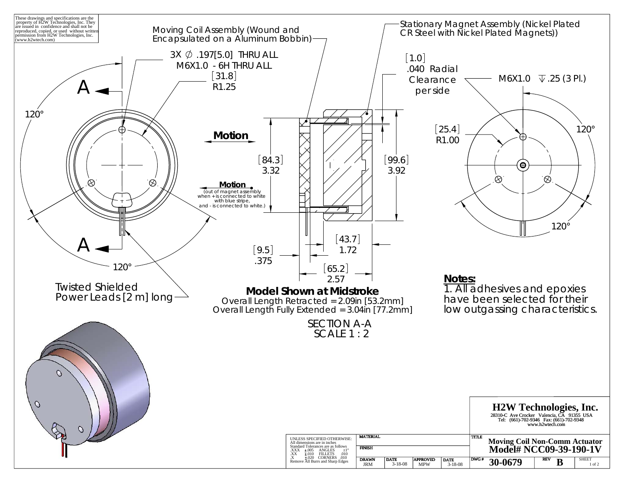